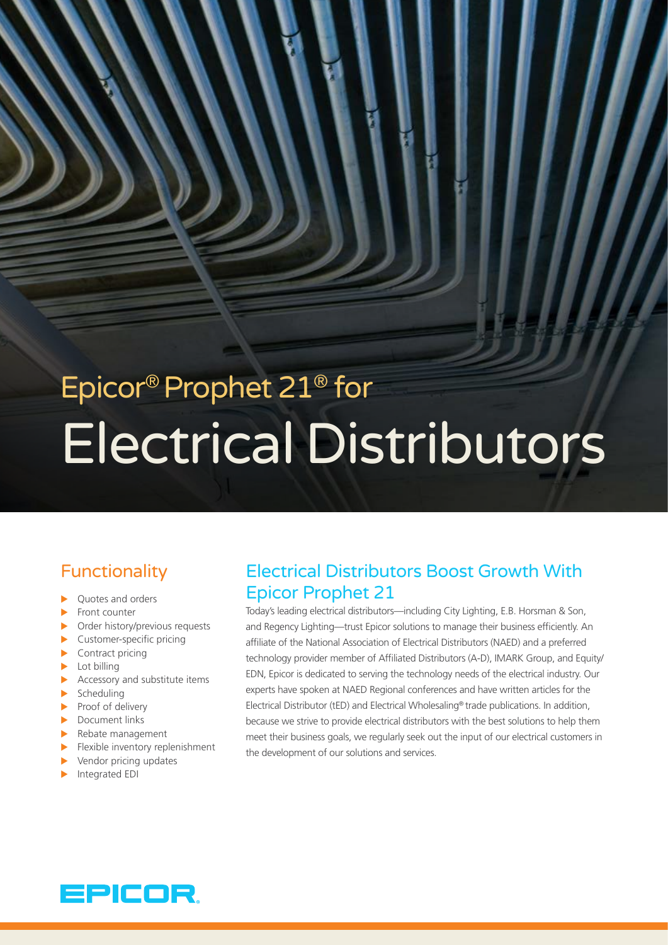# Epicor® Prophet 21® for Electrical Distributors

# Functionality

- Ouotes and orders
- $\blacktriangleright$  Front counter
- $\triangleright$  Order history/previous requests
- $\blacktriangleright$  Customer-specific pricing
- $\blacktriangleright$  Contract pricing
- $\blacktriangleright$  Lot billing
- $\blacktriangleright$  Accessory and substitute items
- $\blacktriangleright$  Scheduling
- $\blacktriangleright$  Proof of delivery
- $\blacktriangleright$  Document links
- $\blacktriangleright$  Rebate management
- $\blacktriangleright$  Flexible inventory replenishment
- $\blacktriangleright$  Vendor pricing updates
- Integrated EDI

# Electrical Distributors Boost Growth With Epicor Prophet 21

Today's leading electrical distributors—including City Lighting, E.B. Horsman & Son, and Regency Lighting—trust Epicor solutions to manage their business efficiently. An affiliate of the National Association of Electrical Distributors (NAED) and a preferred technology provider member of Affiliated Distributors (A-D), IMARK Group, and Equity/ EDN, Epicor is dedicated to serving the technology needs of the electrical industry. Our experts have spoken at NAED Regional conferences and have written articles for the Electrical Distributor (tED) and Electrical Wholesaling® trade publications. In addition, because we strive to provide electrical distributors with the best solutions to help them meet their business goals, we regularly seek out the input of our electrical customers in the development of our solutions and services.

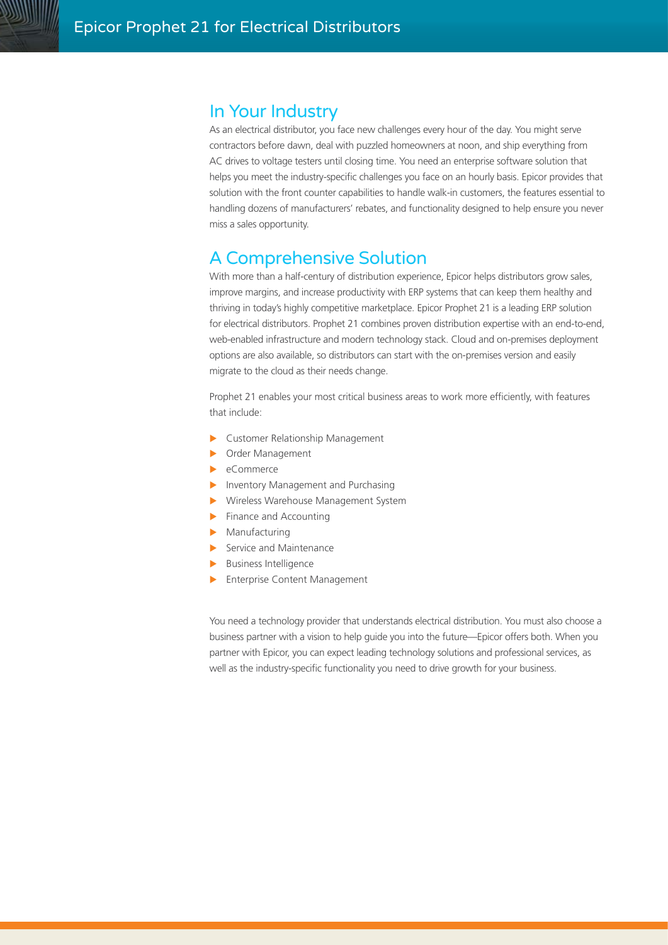# In Your Industry

As an electrical distributor, you face new challenges every hour of the day. You might serve contractors before dawn, deal with puzzled homeowners at noon, and ship everything from AC drives to voltage testers until closing time. You need an enterprise software solution that helps you meet the industry-specific challenges you face on an hourly basis. Epicor provides that solution with the front counter capabilities to handle walk-in customers, the features essential to handling dozens of manufacturers' rebates, and functionality designed to help ensure you never miss a sales opportunity.

# A Comprehensive Solution

With more than a half-century of distribution experience, Epicor helps distributors grow sales, improve margins, and increase productivity with ERP systems that can keep them healthy and thriving in today's highly competitive marketplace. Epicor Prophet 21 is a leading ERP solution for electrical distributors. Prophet 21 combines proven distribution expertise with an end-to-end, web-enabled infrastructure and modern technology stack. Cloud and on-premises deployment options are also available, so distributors can start with the on-premises version and easily migrate to the cloud as their needs change.

Prophet 21 enables your most critical business areas to work more efficiently, with features that include:

- ▶ Customer Relationship Management
- **Dider Management**
- $\blacktriangleright$  eCommerce
- Inventory Management and Purchasing
- **X** Wireless Warehouse Management System
- $\blacktriangleright$  Finance and Accounting
- $\blacktriangleright$  Manufacturing
- $\blacktriangleright$  Service and Maintenance
- $\blacktriangleright$  Business Intelligence
- **Enterprise Content Management**

You need a technology provider that understands electrical distribution. You must also choose a business partner with a vision to help guide you into the future—Epicor offers both. When you partner with Epicor, you can expect leading technology solutions and professional services, as well as the industry-specific functionality you need to drive growth for your business.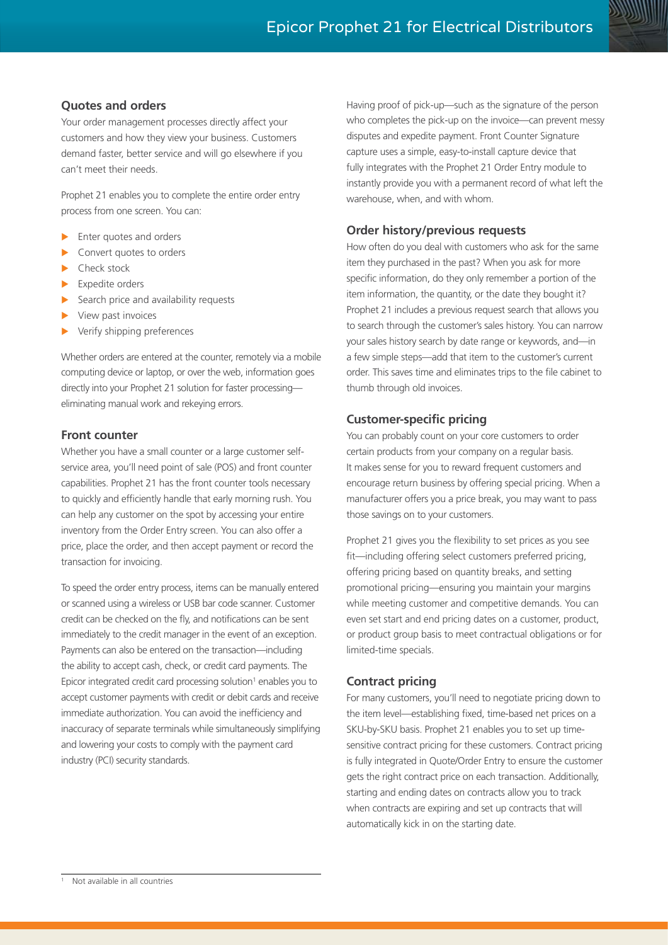

## **Quotes and orders**

Your order management processes directly affect your customers and how they view your business. Customers demand faster, better service and will go elsewhere if you can't meet their needs.

Prophet 21 enables you to complete the entire order entry process from one screen. You can:

- Enter quotes and orders
- Convert quotes to orders
- Check stock
- Expedite orders
- Search price and availability requests
- View past invoices
- Verify shipping preferences

Whether orders are entered at the counter, remotely via a mobile computing device or laptop, or over the web, information goes directly into your Prophet 21 solution for faster processing eliminating manual work and rekeying errors.

## **Front counter**

Whether you have a small counter or a large customer selfservice area, you'll need point of sale (POS) and front counter capabilities. Prophet 21 has the front counter tools necessary to quickly and efficiently handle that early morning rush. You can help any customer on the spot by accessing your entire inventory from the Order Entry screen. You can also offer a price, place the order, and then accept payment or record the transaction for invoicing.

To speed the order entry process, items can be manually entered or scanned using a wireless or USB bar code scanner. Customer credit can be checked on the fly, and notifications can be sent immediately to the credit manager in the event of an exception. Payments can also be entered on the transaction—including the ability to accept cash, check, or credit card payments. The Epicor integrated credit card processing solution<sup>1</sup> enables you to accept customer payments with credit or debit cards and receive immediate authorization. You can avoid the inefficiency and inaccuracy of separate terminals while simultaneously simplifying and lowering your costs to comply with the payment card industry (PCI) security standards.

Having proof of pick-up—such as the signature of the person who completes the pick-up on the invoice—can prevent messy disputes and expedite payment. Front Counter Signature capture uses a simple, easy-to-install capture device that fully integrates with the Prophet 21 Order Entry module to instantly provide you with a permanent record of what left the warehouse, when, and with whom.

## **Order history/previous requests**

How often do you deal with customers who ask for the same item they purchased in the past? When you ask for more specific information, do they only remember a portion of the item information, the quantity, or the date they bought it? Prophet 21 includes a previous request search that allows you to search through the customer's sales history. You can narrow your sales history search by date range or keywords, and—in a few simple steps—add that item to the customer's current order. This saves time and eliminates trips to the file cabinet to thumb through old invoices.

# **Customer-specific pricing**

You can probably count on your core customers to order certain products from your company on a regular basis. It makes sense for you to reward frequent customers and encourage return business by offering special pricing. When a manufacturer offers you a price break, you may want to pass those savings on to your customers.

Prophet 21 gives you the flexibility to set prices as you see fit—including offering select customers preferred pricing, offering pricing based on quantity breaks, and setting promotional pricing—ensuring you maintain your margins while meeting customer and competitive demands. You can even set start and end pricing dates on a customer, product, or product group basis to meet contractual obligations or for limited-time specials.

# **Contract pricing**

For many customers, you'll need to negotiate pricing down to the item level—establishing fixed, time-based net prices on a SKU-by-SKU basis. Prophet 21 enables you to set up timesensitive contract pricing for these customers. Contract pricing is fully integrated in Quote/Order Entry to ensure the customer gets the right contract price on each transaction. Additionally, starting and ending dates on contracts allow you to track when contracts are expiring and set up contracts that will automatically kick in on the starting date.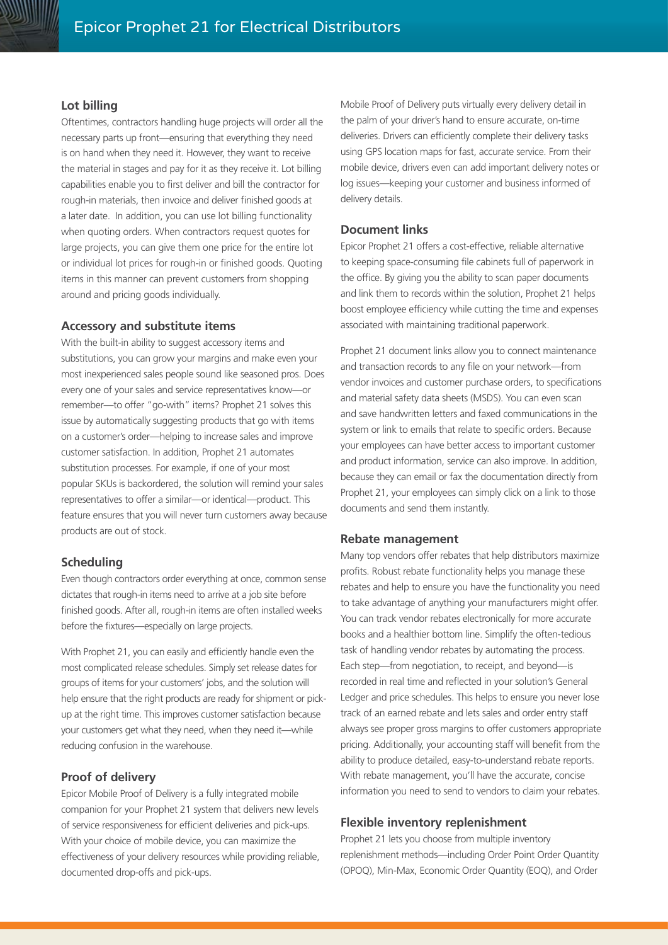## **Lot billing**

Oftentimes, contractors handling huge projects will order all the necessary parts up front—ensuring that everything they need is on hand when they need it. However, they want to receive the material in stages and pay for it as they receive it. Lot billing capabilities enable you to first deliver and bill the contractor for rough-in materials, then invoice and deliver finished goods at a later date. In addition, you can use lot billing functionality when quoting orders. When contractors request quotes for large projects, you can give them one price for the entire lot or individual lot prices for rough-in or finished goods. Quoting items in this manner can prevent customers from shopping around and pricing goods individually.

#### **Accessory and substitute items**

With the built-in ability to suggest accessory items and substitutions, you can grow your margins and make even your most inexperienced sales people sound like seasoned pros. Does every one of your sales and service representatives know—or remember—to offer "go-with" items? Prophet 21 solves this issue by automatically suggesting products that go with items on a customer's order—helping to increase sales and improve customer satisfaction. In addition, Prophet 21 automates substitution processes. For example, if one of your most popular SKUs is backordered, the solution will remind your sales representatives to offer a similar—or identical—product. This feature ensures that you will never turn customers away because products are out of stock.

#### **Scheduling**

Even though contractors order everything at once, common sense dictates that rough-in items need to arrive at a job site before finished goods. After all, rough-in items are often installed weeks before the fixtures—especially on large projects.

With Prophet 21, you can easily and efficiently handle even the most complicated release schedules. Simply set release dates for groups of items for your customers' jobs, and the solution will help ensure that the right products are ready for shipment or pickup at the right time. This improves customer satisfaction because your customers get what they need, when they need it—while reducing confusion in the warehouse.

#### **Proof of delivery**

Epicor Mobile Proof of Delivery is a fully integrated mobile companion for your Prophet 21 system that delivers new levels of service responsiveness for efficient deliveries and pick-ups. With your choice of mobile device, you can maximize the effectiveness of your delivery resources while providing reliable, documented drop-offs and pick-ups.

Mobile Proof of Delivery puts virtually every delivery detail in the palm of your driver's hand to ensure accurate, on-time deliveries. Drivers can efficiently complete their delivery tasks using GPS location maps for fast, accurate service. From their mobile device, drivers even can add important delivery notes or log issues—keeping your customer and business informed of delivery details.

#### **Document links**

Epicor Prophet 21 offers a cost-effective, reliable alternative to keeping space-consuming file cabinets full of paperwork in the office. By giving you the ability to scan paper documents and link them to records within the solution, Prophet 21 helps boost employee efficiency while cutting the time and expenses associated with maintaining traditional paperwork.

Prophet 21 document links allow you to connect maintenance and transaction records to any file on your network—from vendor invoices and customer purchase orders, to specifications and material safety data sheets (MSDS). You can even scan and save handwritten letters and faxed communications in the system or link to emails that relate to specific orders. Because your employees can have better access to important customer and product information, service can also improve. In addition, because they can email or fax the documentation directly from Prophet 21, your employees can simply click on a link to those documents and send them instantly.

#### **Rebate management**

Many top vendors offer rebates that help distributors maximize profits. Robust rebate functionality helps you manage these rebates and help to ensure you have the functionality you need to take advantage of anything your manufacturers might offer. You can track vendor rebates electronically for more accurate books and a healthier bottom line. Simplify the often-tedious task of handling vendor rebates by automating the process. Each step—from negotiation, to receipt, and beyond—is recorded in real time and reflected in your solution's General Ledger and price schedules. This helps to ensure you never lose track of an earned rebate and lets sales and order entry staff always see proper gross margins to offer customers appropriate pricing. Additionally, your accounting staff will benefit from the ability to produce detailed, easy-to-understand rebate reports. With rebate management, you'll have the accurate, concise information you need to send to vendors to claim your rebates.

#### **Flexible inventory replenishment**

Prophet 21 lets you choose from multiple inventory replenishment methods—including Order Point Order Quantity (OPOQ), Min-Max, Economic Order Quantity (EOQ), and Order